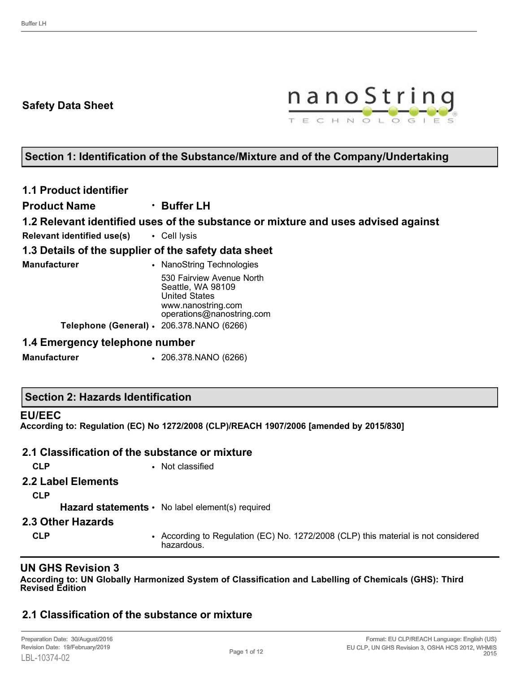### **Safety Data Sheet**



## **Section 1: Identification of the Substance/Mixture and of the Company/Undertaking**

**1.1 Product identifier**

**Product Name** • **Buffer LH**

**1.2 Relevant identified uses of the substance or mixture and uses advised against**

**Relevant identified use(s)** • Cell lysis

### **1.3 Details of the supplier of the safety data sheet**

| Manufacturer | • NanoString Technologies                                              |
|--------------|------------------------------------------------------------------------|
|              | 530 Fairview Avenue North<br>Seattle, WA 98109<br><b>United States</b> |
|              | www.nanostring.com<br>operations@nanostring.com                        |
|              | Telephone (General) · 206.378.NANO (6266)                              |

### **1.4 Emergency telephone number**

**Manufacturer** • 206.378.NANO (6266)

#### **EU/EEC**

**According to: Regulation (EC) No 1272/2008 (CLP)/REACH 1907/2006 [amended by 2015/830]**

#### **2.1 Classification of the substance or mixture**

**CLP** • Not classified

## **2.2 Label Elements**

**CLP**

Hazard statements • No label element(s) required

### **2.3 Other Hazards**

**CLP** • According to Regulation (EC) No. 1272/2008 (CLP) this material is not considered hazardous.

### **UN GHS Revision 3**

**According to: UN Globally Harmonized System of Classification and Labelling of Chemicals (GHS): Third Revised Edition**

## **2.1 Classification of the substance or mixture**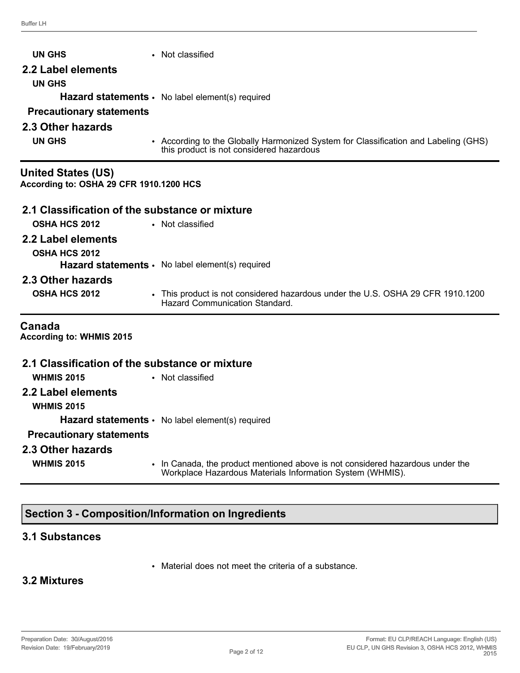| <b>UN GHS</b><br>2.2 Label elements                                  | • Not classified                                                                                                                |
|----------------------------------------------------------------------|---------------------------------------------------------------------------------------------------------------------------------|
| <b>UN GHS</b><br><b>Precautionary statements</b>                     | Hazard statements · No label element(s) required                                                                                |
| 2.3 Other hazards                                                    |                                                                                                                                 |
| <b>UN GHS</b>                                                        | • According to the Globally Harmonized System for Classification and Labeling (GHS)<br>this product is not considered hazardous |
| <b>United States (US)</b><br>According to: OSHA 29 CFR 1910.1200 HCS |                                                                                                                                 |
| 2.1 Classification of the substance or mixture                       |                                                                                                                                 |
| OSHA HCS 2012                                                        | • Not classified                                                                                                                |
| 2.2 Label elements                                                   |                                                                                                                                 |
| OSHA HCS 2012                                                        |                                                                                                                                 |
|                                                                      | Hazard statements · No label element(s) required                                                                                |
| 2.3 Other hazards                                                    |                                                                                                                                 |
| OSHA HCS 2012                                                        | • This product is not considered hazardous under the U.S. OSHA 29 CFR 1910.1200<br><b>Hazard Communication Standard.</b>        |
| Canada<br><b>According to: WHMIS 2015</b>                            |                                                                                                                                 |
| 2.1 Classification of the substance or mixture                       |                                                                                                                                 |
| <b>WHMIS 2015</b>                                                    | • Not classified                                                                                                                |
| 2.2 Label elements<br><b>WHMIS 2015</b>                              |                                                                                                                                 |
|                                                                      | <b>Hazard statements •</b> No label element(s) required                                                                         |
| <b>Precautionary statements</b>                                      |                                                                                                                                 |
| 2.3 Other hazards                                                    |                                                                                                                                 |

- 
- **WHMIS 2015** In Canada, the product mentioned above is not considered hazardous under the Workplace Hazardous Materials Information System (WHMIS).

## **Section 3 - Composition/Information on Ingredients**

### **3.1 Substances**

• Material does not meet the criteria of a substance.

## **3.2 Mixtures**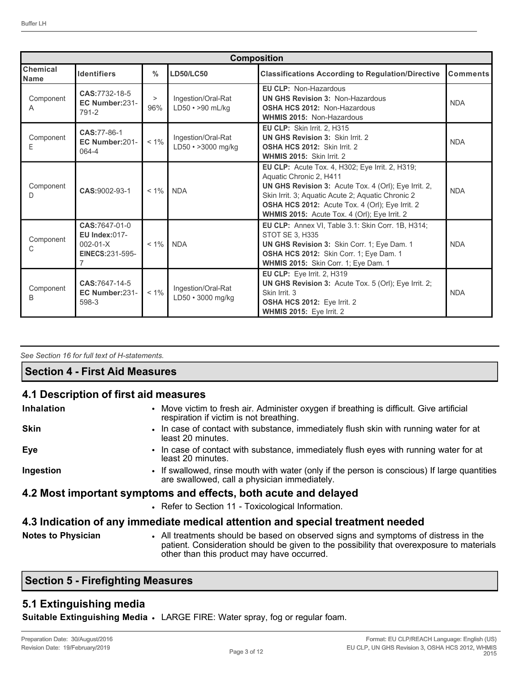|                                | <b>Composition</b>                                                                                  |                  |                                                                                                                                                                                                                                                                                                          |                                                                                                                                                                |                 |
|--------------------------------|-----------------------------------------------------------------------------------------------------|------------------|----------------------------------------------------------------------------------------------------------------------------------------------------------------------------------------------------------------------------------------------------------------------------------------------------------|----------------------------------------------------------------------------------------------------------------------------------------------------------------|-----------------|
| <b>Chemical</b><br><b>Name</b> | <b>Identifiers</b>                                                                                  | $\frac{0}{0}$    | <b>LD50/LC50</b>                                                                                                                                                                                                                                                                                         | <b>Classifications According to Regulation/Directive</b>                                                                                                       | <b>Comments</b> |
| Component<br>A                 | CAS:7732-18-5<br>EC Number:231-<br>791-2                                                            | $\, > \,$<br>96% | Ingestion/Oral-Rat<br>$LD50 \rightarrow 90$ mL/kg                                                                                                                                                                                                                                                        | <b>EU CLP: Non-Hazardous</b><br><b>UN GHS Revision 3: Non-Hazardous</b><br><b>OSHA HCS 2012: Non-Hazardous</b><br><b>WHMIS 2015: Non-Hazardous</b>             |                 |
| Component<br>Ε                 | CAS:77-86-1<br>EC Number:201-<br>064-4                                                              | $< 1\%$          | Ingestion/Oral-Rat<br>$LD50 \cdot > 3000$ mg/kg                                                                                                                                                                                                                                                          | <b>EU CLP:</b> Skin Irrit. 2, H315<br><b>UN GHS Revision 3: Skin Irrit. 2</b><br><b>OSHA HCS 2012: Skin Irrit. 2</b><br>WHMIS 2015: Skin Irrit. 2              |                 |
| Component<br>D                 | CAS:9002-93-1                                                                                       | $< 1\%$          | EU CLP: Acute Tox. 4, H302; Eye Irrit. 2, H319;<br>Aquatic Chronic 2, H411<br>UN GHS Revision 3: Acute Tox. 4 (Orl); Eye Irrit. 2,<br><b>NDA</b><br>Skin Irrit. 3; Aquatic Acute 2; Aquatic Chronic 2<br>OSHA HCS 2012: Acute Tox. 4 (Orl); Eye Irrit. 2<br>WHMIS 2015: Acute Tox. 4 (Orl); Eye Irrit. 2 |                                                                                                                                                                | <b>NDA</b>      |
| Component<br>C                 | CAS:7647-01-0<br><b>EU Index:017-</b><br>$002 - 01 - X$<br><b>EINECS:231-595-</b><br>$\overline{7}$ | $< 1\%$          | EU CLP: Annex VI, Table 3.1: Skin Corr. 1B, H314;<br><b>STOT SE 3. H335</b><br><b>NDA</b><br>UN GHS Revision 3: Skin Corr. 1; Eye Dam. 1<br>OSHA HCS 2012: Skin Corr. 1; Eye Dam. 1<br>WHMIS 2015: Skin Corr. 1; Eye Dam. 1                                                                              |                                                                                                                                                                | <b>NDA</b>      |
| Component<br>B                 | CAS:7647-14-5<br>EC Number:231-<br>598-3                                                            | $< 1\%$          | Ingestion/Oral-Rat<br>LD50 · 3000 mg/kg                                                                                                                                                                                                                                                                  | EU CLP: Eye Irrit. 2, H319<br>UN GHS Revision 3: Acute Tox. 5 (Orl); Eye Irrit. 2;<br>Skin Irrit. 3<br>OSHA HCS 2012: Eye Irrit. 2<br>WHMIS 2015: Eye Irrit. 2 | <b>NDA</b>      |

*See Section 16 for full text of H-statements.* 

### **Section 4 - First Aid Measures**

#### **4.1 Description of first aid measures**

| <b>Inhalation</b>         | • Move victim to fresh air. Administer oxygen if breathing is difficult. Give artificial<br>respiration if victim is not breathing.                                                      |
|---------------------------|------------------------------------------------------------------------------------------------------------------------------------------------------------------------------------------|
| <b>Skin</b>               | . In case of contact with substance, immediately flush skin with running water for at<br>least 20 minutes.                                                                               |
| Eye                       | • In case of contact with substance, immediately flush eyes with running water for at<br>least 20 minutes.                                                                               |
| Ingestion                 | • If swallowed, rinse mouth with water (only if the person is conscious) If large quantities<br>are swallowed, call a physician immediately.                                             |
|                           | 4.2 Most important symptoms and effects, both acute and delayed                                                                                                                          |
|                           | • Refer to Section 11 - Toxicological Information.                                                                                                                                       |
|                           | 4.3 Indication of any immediate medical attention and special treatment needed                                                                                                           |
| <b>Notes to Physician</b> | • All treatments should be based on observed signs and symptoms of distress in the<br>a attach. O sastalanatan sharrib ba air ca ta tha nasa ileithe that arranarra sarra ta nastan'ala. |

# patient. Consideration should be given to the possibility that overexposure to materials other than this product may have occurred.

## **Section 5 - Firefighting Measures**

### **5.1 Extinguishing media**

**Suitable Extinguishing Media** • LARGE FIRE: Water spray, fog or regular foam.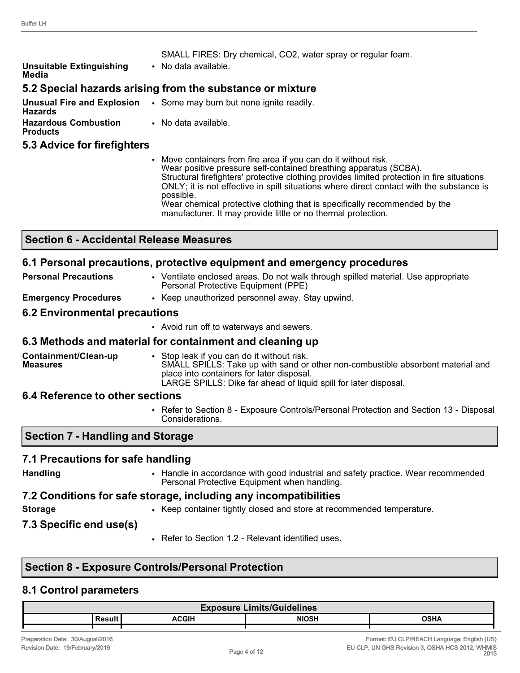|                                                                                              | SMALL FIRES: Dry chemical, CO2, water spray or regular foam. |  |
|----------------------------------------------------------------------------------------------|--------------------------------------------------------------|--|
| <b>Unsuitable Extinguishing</b><br>Media                                                     | • No data available.                                         |  |
| 5.2 Special hazards arising from the substance or mixture                                    |                                                              |  |
| <b>Unusual Fire and Explosion</b> . Some may burn but none ignite readily.<br><b>Hazards</b> |                                                              |  |
| <b>Hazardous Combustion</b><br><b>Products</b>                                               | • No data available.                                         |  |
| 5.3 Advice for firefighters                                                                  |                                                              |  |

• Move containers from fire area if you can do it without risk. Wear positive pressure self-contained breathing apparatus (SCBA). Structural firefighters' protective clothing provides limited protection in fire situations ONLY; it is not effective in spill situations where direct contact with the substance is possible. Wear chemical protective clothing that is specifically recommended by the manufacturer. It may provide little or no thermal protection.

#### **Section 6 - Accidental Release Measures**

#### **6.1 Personal precautions, protective equipment and emergency procedures**

**Personal Precautions • Ventilate enclosed areas. Do not walk through spilled material. Use appropriate** Personal Protective Equipment (PPE) **Emergency Procedures** • Keep unauthorized personnel away. Stay upwind.

#### **6.2 Environmental precautions**

• Avoid run off to waterways and sewers.

# **6.3 Methods and material for containment and cleaning up**

**Containment/Clean-up Measures** • Stop leak if you can do it without risk. SMALL SPILLS: Take up with sand or other non-combustible absorbent material and place into containers for later disposal. LARGE SPILLS: Dike far ahead of liquid spill for later disposal.

## **6.4 Reference to other sections**

• Refer to Section 8 - Exposure Controls/Personal Protection and Section 13 - Disposal Considerations.

## **Section 7 - Handling and Storage**

## **7.1 Precautions for safe handling**

**Handling** • Handle in accordance with good industrial and safety practice. Wear recommended Personal Protective Equipment when handling.

## **7.2 Conditions for safe storage, including any incompatibilities**

**Storage** • **•** Keep container tightly closed and store at recommended temperature.

**7.3 Specific end use(s)**

• Refer to Section 1.2 - Relevant identified uses.

# **Section 8 - Exposure Controls/Personal Protection**

## **8.1 Control parameters**

| <b>Exposure Limits/Guidelines</b> |  |              |              |      |
|-----------------------------------|--|--------------|--------------|------|
|                                   |  | <b>ACGIH</b> | <b>NIOSH</b> | OSHA |
|                                   |  |              |              |      |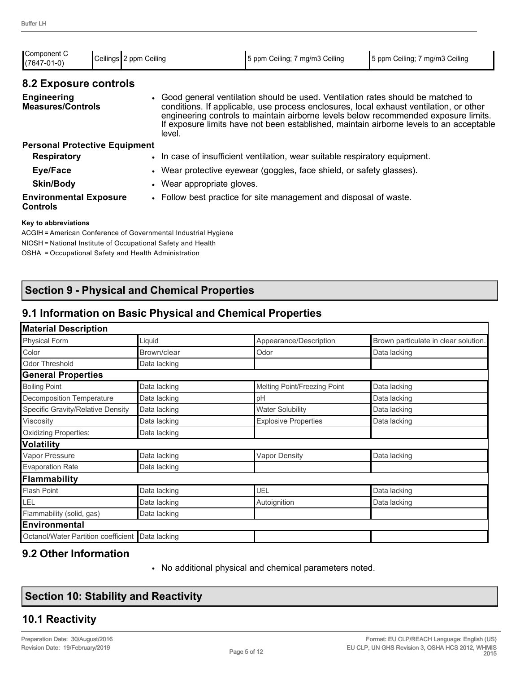| Component C<br>$(7647-01-0)$                     | Ceilings 2 ppm Ceiling |        | 5 ppm Ceiling; 7 mg/m3 Ceiling                                                                                                                                                                                                                                     | 5 ppm Ceiling; 7 mg/m3 Ceiling                                                          |  |
|--------------------------------------------------|------------------------|--------|--------------------------------------------------------------------------------------------------------------------------------------------------------------------------------------------------------------------------------------------------------------------|-----------------------------------------------------------------------------------------|--|
| 8.2 Exposure controls                            |                        |        |                                                                                                                                                                                                                                                                    |                                                                                         |  |
| <b>Engineering</b><br><b>Measures/Controls</b>   |                        | level. | • Good general ventilation should be used. Ventilation rates should be matched to<br>conditions. If applicable, use process enclosures, local exhaust ventilation, or other<br>engineering controls to maintain airborne levels below recommended exposure limits. | If exposure limits have not been established, maintain airborne levels to an acceptable |  |
| <b>Personal Protective Equipment</b>             |                        |        |                                                                                                                                                                                                                                                                    |                                                                                         |  |
| <b>Respiratory</b>                               |                        |        | • In case of insufficient ventilation, wear suitable respiratory equipment.                                                                                                                                                                                        |                                                                                         |  |
| Eye/Face                                         |                        |        | • Wear protective eyewear (goggles, face shield, or safety glasses).                                                                                                                                                                                               |                                                                                         |  |
| <b>Skin/Body</b>                                 |                        |        | • Wear appropriate gloves.                                                                                                                                                                                                                                         |                                                                                         |  |
| <b>Environmental Exposure</b><br><b>Controls</b> |                        |        | • Follow best practice for site management and disposal of waste.                                                                                                                                                                                                  |                                                                                         |  |
|                                                  |                        |        |                                                                                                                                                                                                                                                                    |                                                                                         |  |

#### **Key to abbreviations**

ACGIH = American Conference of Governmental Industrial Hygiene NIOSH = National Institute of Occupational Safety and Health OSHA = Occupational Safety and Health Administration

## **Section 9 - Physical and Chemical Properties**

### **9.1 Information on Basic Physical and Chemical Properties**

| <b>Material Description</b>         |              |                              |                                      |
|-------------------------------------|--------------|------------------------------|--------------------------------------|
| <b>Physical Form</b>                | Liquid       | Appearance/Description       | Brown particulate in clear solution. |
| Color                               | Brown/clear  | Odor                         | Data lacking                         |
| <b>Odor Threshold</b>               | Data lacking |                              |                                      |
| <b>General Properties</b>           |              |                              |                                      |
| <b>Boiling Point</b>                | Data lacking | Melting Point/Freezing Point | Data lacking                         |
| <b>Decomposition Temperature</b>    | Data lacking | pH                           | Data lacking                         |
| Specific Gravity/Relative Density   | Data lacking | <b>Water Solubility</b>      | Data lacking                         |
| Viscosity                           | Data lacking | <b>Explosive Properties</b>  | Data lacking                         |
| <b>Oxidizing Properties:</b>        | Data lacking |                              |                                      |
| <b>Volatility</b>                   |              |                              |                                      |
| Vapor Pressure                      | Data lacking | <b>Vapor Density</b>         | Data lacking                         |
| <b>Evaporation Rate</b>             | Data lacking |                              |                                      |
| Flammability                        |              |                              |                                      |
| Flash Point                         | Data lacking | UEL                          | Data lacking                         |
| LEL                                 | Data lacking | Autoignition                 | Data lacking                         |
| Flammability (solid, gas)           | Data lacking |                              |                                      |
| <b>Environmental</b>                |              |                              |                                      |
| Octanol/Water Partition coefficient | Data lacking |                              |                                      |

### **9.2 Other Information**

• No additional physical and chemical parameters noted.

|  |  |  |  | <b>Section 10: Stability and Reactivity</b> |
|--|--|--|--|---------------------------------------------|
|--|--|--|--|---------------------------------------------|

### **10.1 Reactivity**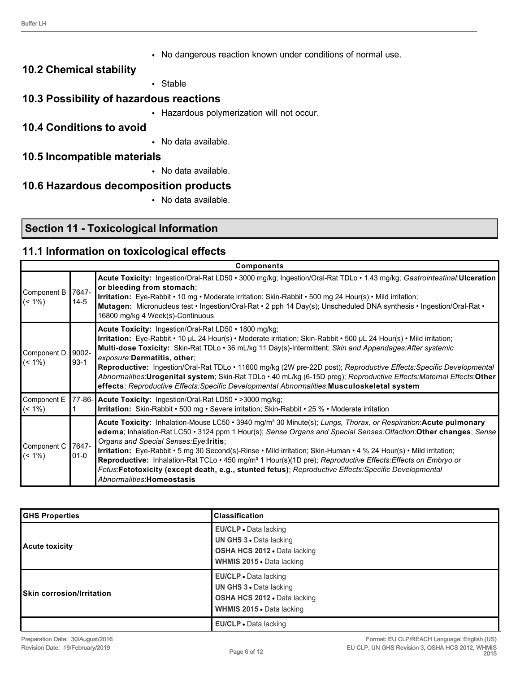• No dangerous reaction known under conditions of normal use.

#### **10.2 Chemical stability**

• Stable

# **10.3 Possibility of hazardous reactions**

• Hazardous polymerization will not occur.

### **10.4 Conditions to avoid**

• No data available.

#### **10.5 Incompatible materials**

• No data available.

#### **10.6 Hazardous decomposition products**

• No data available.

## **Section 11 - Toxicological Information**

### **11.1 Information on toxicological effects**

|                               |                   | <b>Components</b>                                                                                                                                                                                                                                                                                                                                                                                                                                                                                                                                                                                                                                                                 |
|-------------------------------|-------------------|-----------------------------------------------------------------------------------------------------------------------------------------------------------------------------------------------------------------------------------------------------------------------------------------------------------------------------------------------------------------------------------------------------------------------------------------------------------------------------------------------------------------------------------------------------------------------------------------------------------------------------------------------------------------------------------|
| Component B<br>$\sim$ (< 1%)  | 7647-<br>$14 - 5$ | Acute Toxicity: Ingestion/Oral-Rat LD50 · 3000 mg/kg; Ingestion/Oral-Rat TDLo · 1.43 mg/kg; Gastrointestinal:Ulceration<br>or bleeding from stomach;<br>Irritation: Eye-Rabbit • 10 mg • Moderate irritation; Skin-Rabbit • 500 mg 24 Hour(s) • Mild irritation;<br>Mutagen: Micronucleus test • Ingestion/Oral-Rat • 2 pph 14 Day(s); Unscheduled DNA synthesis • Ingestion/Oral-Rat •<br>16800 mg/kg 4 Week(s)-Continuous                                                                                                                                                                                                                                                       |
| Component D<br>$\sim$ (< 1%)  | 9002-<br>$93-1$   | Acute Toxicity: Ingestion/Oral-Rat LD50 • 1800 mg/kg;<br>Irritation: Eye-Rabbit • 10 µL 24 Hour(s) • Moderate irritation; Skin-Rabbit • 500 µL 24 Hour(s) • Mild irritation;<br>Multi-dose Toxicity: Skin-Rat TDLo · 36 mL/kg 11 Day(s)-Intermittent; Skin and Appendages: After systemic<br>exposure: Dermatitis, other:<br>Reproductive: Ingestion/Oral-Rat TDLo · 11600 mg/kg (2W pre-22D post); Reproductive Effects: Specific Developmental<br>Abnormalities:Urogenital system; Skin-Rat TDLo · 40 mL/kg (6-15D preg); Reproductive Effects:Maternal Effects:Other<br>effects; Reproductive Effects: Specific Developmental Abnormalities: Musculoskeletal system            |
| Component E<br>$\vert$ (< 1%) |                   | 77-86- Acute Toxicity: Ingestion/Oral-Rat LD50 · >3000 mg/kg;<br>Irritation: Skin-Rabbit • 500 mg • Severe irritation; Skin-Rabbit • 25 % • Moderate irritation                                                                                                                                                                                                                                                                                                                                                                                                                                                                                                                   |
| Component C<br>$\leq (1\%)$   | 7647-<br>$01 - 0$ | Acute Toxicity: Inhalation-Mouse LC50 · 3940 mg/m <sup>3</sup> 30 Minute(s); Lungs, Thorax, or Respiration: Acute pulmonary<br>edema; Inhalation-Rat LC50 • 3124 ppm 1 Hour(s); Sense Organs and Special Senses: Olfaction: Other changes; Sense<br>Organs and Special Senses: Eye: Iritis;<br>Irritation: Eye-Rabbit • 5 mg 30 Second(s)-Rinse • Mild irritation; Skin-Human • 4 % 24 Hour(s) • Mild irritation;<br>Reproductive: Inhalation-Rat TCLo · 450 mg/m <sup>3</sup> 1 Hour(s)(1D pre); Reproductive Effects: Effects on Embryo or<br>Fetus:Fetotoxicity (except death, e.g., stunted fetus); Reproductive Effects:Specific Developmental<br>Abnormalities: Homeostasis |

| <b>GHS Properties</b>            | <b>Classification</b>                                                                                                       |
|----------------------------------|-----------------------------------------------------------------------------------------------------------------------------|
| <b>Acute toxicity</b>            | EU/CLP • Data lacking<br>UN GHS 3 . Data lacking<br><b>OSHA HCS 2012 • Data lacking</b><br><b>WHMIS 2015 • Data lacking</b> |
| <b>Skin corrosion/Irritation</b> | <b>EU/CLP</b> • Data lacking<br>UN GHS 3 . Data lacking<br>OSHA HCS 2012 . Data lacking<br>WHMIS 2015 . Data lacking        |
|                                  | <b>EU/CLP</b> • Data lacking                                                                                                |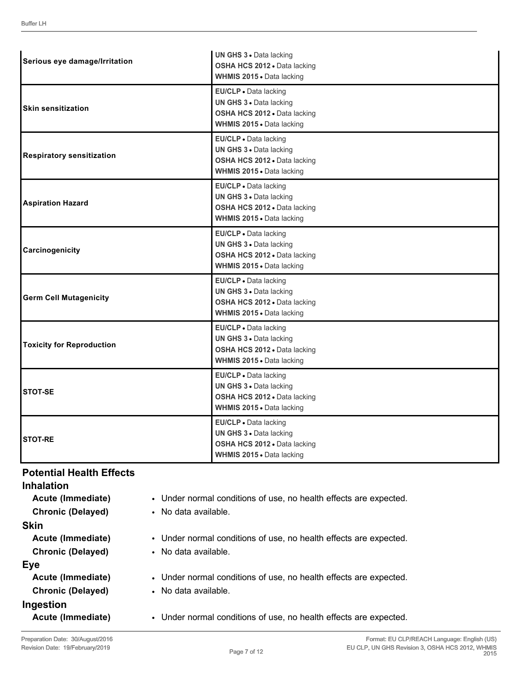| Serious eye damage/Irritation    | UN GHS 3 · Data lacking<br>OSHA HCS 2012 · Data lacking<br>WHMIS 2015 . Data lacking                          |
|----------------------------------|---------------------------------------------------------------------------------------------------------------|
| <b>Skin sensitization</b>        | EU/CLP · Data lacking<br>UN GHS 3 . Data lacking<br>OSHA HCS 2012 . Data lacking<br>WHMIS 2015 . Data lacking |
| <b>Respiratory sensitization</b> | EU/CLP · Data lacking<br>UN GHS 3 · Data lacking<br>OSHA HCS 2012 · Data lacking<br>WHMIS 2015 . Data lacking |
| <b>Aspiration Hazard</b>         | EU/CLP - Data lacking<br>UN GHS 3 . Data lacking<br>OSHA HCS 2012 · Data lacking<br>WHMIS 2015 . Data lacking |
| Carcinogenicity                  | EU/CLP · Data lacking<br>UN GHS 3 · Data lacking<br>OSHA HCS 2012 · Data lacking<br>WHMIS 2015 . Data lacking |
| <b>Germ Cell Mutagenicity</b>    | EU/CLP · Data lacking<br>UN GHS 3 . Data lacking<br>OSHA HCS 2012 · Data lacking<br>WHMIS 2015 . Data lacking |
| <b>Toxicity for Reproduction</b> | EU/CLP . Data lacking<br>UN GHS 3 . Data lacking<br>OSHA HCS 2012 . Data lacking<br>WHMIS 2015 . Data lacking |
| STOT-SE                          | EU/CLP · Data lacking<br>UN GHS 3 · Data lacking<br>OSHA HCS 2012 · Data lacking<br>WHMIS 2015 . Data lacking |
| <b>STOT-RE</b>                   | EU/CLP · Data lacking<br>UN GHS 3 · Data lacking<br>OSHA HCS 2012 · Data lacking<br>WHMIS 2015 . Data lacking |

### **Potential Health Effects**

| <b>Inhalation</b>        |                                                                   |
|--------------------------|-------------------------------------------------------------------|
| Acute (Immediate)        | • Under normal conditions of use, no health effects are expected. |
| <b>Chronic (Delayed)</b> | • No data available.                                              |
| <b>Skin</b>              |                                                                   |
| Acute (Immediate)        | • Under normal conditions of use, no health effects are expected. |
| <b>Chronic (Delayed)</b> | • No data available.                                              |
| Eye                      |                                                                   |
| Acute (Immediate)        | • Under normal conditions of use, no health effects are expected. |
| <b>Chronic (Delayed)</b> | • No data available.                                              |
| Ingestion                |                                                                   |
| Acute (Immediate)        | Under normal conditions of use, no health effects are expected.   |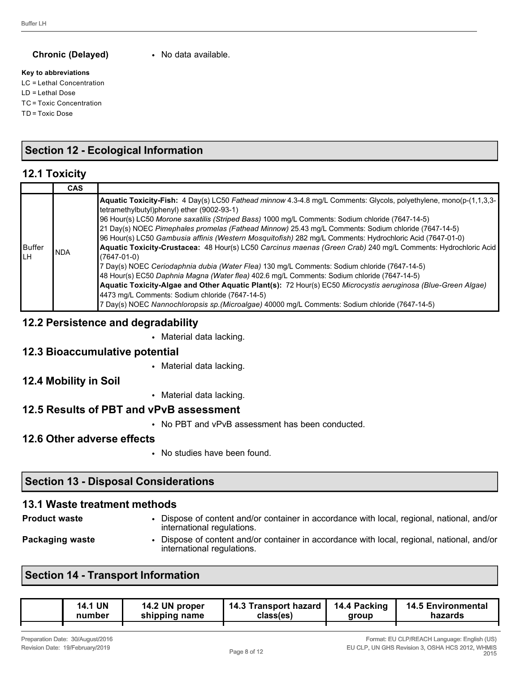#### **Chronic (Delayed)** • No data available.

#### **Key to abbreviations**

LC = Lethal Concentration LD = Lethal Dose TC = Toxic Concentration TD = Toxic Dose

## **Section 12 - Ecological Information**

#### **12.1 Toxicity**

|               | <b>CAS</b> |                                                                                                                                                                                                                                                                                                                                                                                                                                                                                                                                                                                                                                                                                                                                                                                                                                                                                                                                                                                                                                                                                               |
|---------------|------------|-----------------------------------------------------------------------------------------------------------------------------------------------------------------------------------------------------------------------------------------------------------------------------------------------------------------------------------------------------------------------------------------------------------------------------------------------------------------------------------------------------------------------------------------------------------------------------------------------------------------------------------------------------------------------------------------------------------------------------------------------------------------------------------------------------------------------------------------------------------------------------------------------------------------------------------------------------------------------------------------------------------------------------------------------------------------------------------------------|
| Buffer<br>ILН | <b>NDA</b> | Aquatic Toxicity-Fish: 4 Day(s) LC50 Fathead minnow 4.3-4.8 mg/L Comments: Glycols, polyethylene, mono(p-(1,1,3,3-)<br>tetramethylbutyl)phenyl) ether (9002-93-1)<br>96 Hour(s) LC50 Morone saxatilis (Striped Bass) 1000 mg/L Comments: Sodium chloride (7647-14-5)<br>21 Day(s) NOEC Pimephales promelas (Fathead Minnow) 25.43 mg/L Comments: Sodium chloride (7647-14-5)<br>96 Hour(s) LC50 Gambusia affinis (Western Mosquitofish) 282 mg/L Comments: Hydrochloric Acid (7647-01-0)<br>Aquatic Toxicity-Crustacea: 48 Hour(s) LC50 Carcinus maenas (Green Crab) 240 mg/L Comments: Hydrochloric Acid<br>(7647-01-0)<br>7 Day(s) NOEC Ceriodaphnia dubia (Water Flea) 130 mg/L Comments: Sodium chloride (7647-14-5)<br>48 Hour(s) EC50 Daphnia Magna (Water flea) 402.6 mg/L Comments: Sodium chloride (7647-14-5)<br>Aquatic Toxicity-Algae and Other Aquatic Plant(s): 72 Hour(s) EC50 Microcystis aeruginosa (Blue-Green Algae)<br>4473 mg/L Comments: Sodium chloride (7647-14-5)<br>7 Day(s) NOEC Nannochloropsis sp. (Microalgae) 40000 mg/L Comments: Sodium chloride (7647-14-5) |

#### **12.2 Persistence and degradability**

• Material data lacking.

#### **12.3 Bioaccumulative potential**

• Material data lacking.

#### **12.4 Mobility in Soil**

• Material data lacking.

#### **12.5 Results of PBT and vPvB assessment**

• No PBT and vPvB assessment has been conducted.

#### **12.6 Other adverse effects**

• No studies have been found.

### **Section 13 - Disposal Considerations**

#### **13.1 Waste treatment methods**

| <b>Product waste</b> | Dispose of content and/or container in accordance with local, regional, national, and/or<br>international regulations. |
|----------------------|------------------------------------------------------------------------------------------------------------------------|
| Packaging waste      | Dispose of content and/or container in accordance with local, regional, national, and/or<br>international regulations. |

### **Section 14 - Transport Information**

| 14.1 UN | 14.2 UN proper | 14.3 Transport hazard | 14.4 Packing | <b>14.5 Environmental</b> |
|---------|----------------|-----------------------|--------------|---------------------------|
| number  | shipping name  | class(es)             | group        | hazards                   |
|         |                |                       |              |                           |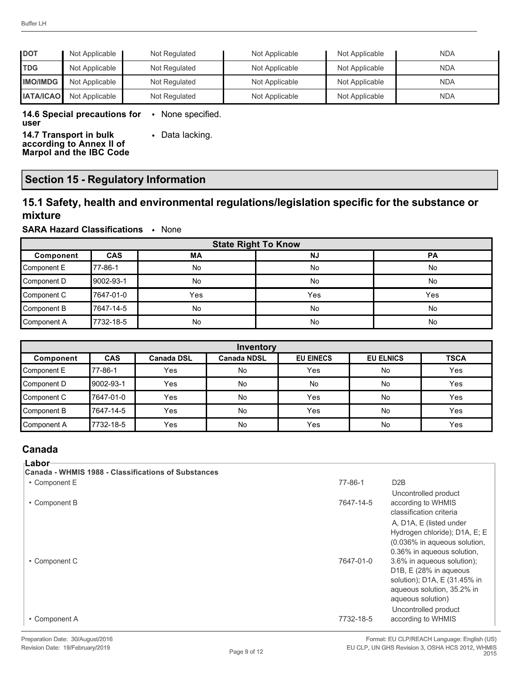| <b>IDOT</b>      | Not Applicable | Not Regulated | Not Applicable | Not Applicable | <b>NDA</b> |
|------------------|----------------|---------------|----------------|----------------|------------|
| <b>TDG</b>       | Not Applicable | Not Regulated | Not Applicable | Not Applicable | <b>NDA</b> |
| <b>IMO/IMDG</b>  | Not Applicable | Not Regulated | Not Applicable | Not Applicable | <b>NDA</b> |
| <b>IATA/ICAO</b> | Not Applicable | Not Regulated | Not Applicable | Not Applicable | <b>NDA</b> |

**14.6 Special precautions for**  • None specified. **user**

**14.7 Transport in bulk according to Annex II of Marpol and the IBC Code** • Data lacking.

**Section 15 - Regulatory Information**

### **15.1 Safety, health and environmental regulations/legislation specific for the substance or mixture**

#### **SARA Hazard Classifications** • None

| <b>State Right To Know</b> |            |           |           |           |
|----------------------------|------------|-----------|-----------|-----------|
| Component                  | <b>CAS</b> | <b>MA</b> | <b>NJ</b> | <b>PA</b> |
| Component E                | 177-86-1   | No        | No        | No        |
| Component D                | 9002-93-1  | No        | No        | No        |
| Component C                | 7647-01-0  | Yes       | Yes       | Yes       |
| Component B                | 7647-14-5  | No        | No        | No        |
| Component A                | 7732-18-5  | <b>No</b> | No        | No        |

| Inventory   |            |                   |                    |                  |                  |             |
|-------------|------------|-------------------|--------------------|------------------|------------------|-------------|
| Component   | <b>CAS</b> | <b>Canada DSL</b> | <b>Canada NDSL</b> | <b>EU EINECS</b> | <b>EU ELNICS</b> | <b>TSCA</b> |
| Component E | 77-86-1    | Yes               | No                 | Yes              | No               | Yes         |
| Component D | 9002-93-1  | Yes               | No                 | No               | No               | Yes         |
| Component C | 7647-01-0  | Yes               | No                 | Yes              | No               | Yes         |
| Component B | 7647-14-5  | Yes               | No                 | Yes              | No               | Yes         |
| Component A | 7732-18-5  | Yes               | No                 | Yes              | No               | Yes         |

### **Canada**

| ⊦Labor                                              |           |                                                                                                                                                                 |
|-----------------------------------------------------|-----------|-----------------------------------------------------------------------------------------------------------------------------------------------------------------|
| Canada - WHMIS 1988 - Classifications of Substances |           |                                                                                                                                                                 |
| • Component E                                       | 77-86-1   | D <sub>2</sub> B                                                                                                                                                |
| • Component B                                       | 7647-14-5 | Uncontrolled product<br>according to WHMIS<br>classification criteria                                                                                           |
|                                                     |           | A, D1A, E (listed under<br>Hydrogen chloride); D1A, E; E<br>(0.036% in aqueous solution,<br>0.36% in aqueous solution,                                          |
| • Component C                                       | 7647-01-0 | 3.6% in aqueous solution);<br>D1B, E (28% in aqueous<br>solution); D1A, E (31.45% in<br>aqueous solution, 35.2% in<br>aqueous solution)<br>Uncontrolled product |
| • Component A                                       | 7732-18-5 | according to WHMIS                                                                                                                                              |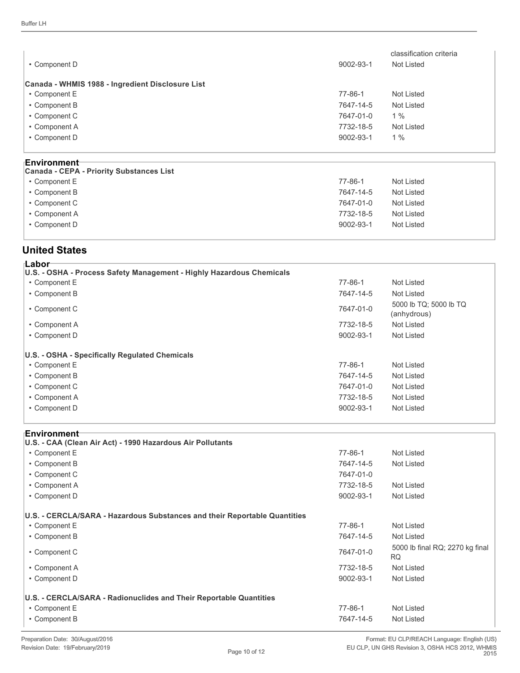| • Component D                                    | 9002-93-1 | classification criteria<br>Not Listed |
|--------------------------------------------------|-----------|---------------------------------------|
| Canada - WHMIS 1988 - Ingredient Disclosure List |           |                                       |
| • Component E                                    | 77-86-1   | Not Listed                            |
| • Component B                                    | 7647-14-5 | Not Listed                            |
| • Component C                                    | 7647-01-0 | 1%                                    |
| • Component A                                    | 7732-18-5 | Not Listed                            |
| • Component D                                    | 9002-93-1 | 1%                                    |
|                                                  |           |                                       |
| Environment <sup>-</sup>                         |           |                                       |

| ------------<br>Canada - CEPA - Priority Substances List |               |            |
|----------------------------------------------------------|---------------|------------|
|                                                          |               |            |
| • Component E                                            | $77 - 86 - 1$ | Not Listed |
| • Component B                                            | 7647-14-5     | Not Listed |
| • Component C                                            | 7647-01-0     | Not Listed |
| • Component A                                            | 7732-18-5     | Not Listed |
| • Component D                                            | 9002-93-1     | Not Listed |
|                                                          |               |            |

#### **United States**

| 'Labor<br>U.S. - OSHA - Process Safety Management - Highly Hazardous Chemicals |               |                                       |  |
|--------------------------------------------------------------------------------|---------------|---------------------------------------|--|
| • Component E                                                                  | 77-86-1       | Not Listed                            |  |
| • Component B                                                                  | 7647-14-5     | Not Listed                            |  |
| • Component C                                                                  | 7647-01-0     | 5000 lb TQ; 5000 lb TQ<br>(anhydrous) |  |
| • Component A                                                                  | 7732-18-5     | Not Listed                            |  |
| • Component D                                                                  | 9002-93-1     | Not Listed                            |  |
| U.S. - OSHA - Specifically Regulated Chemicals                                 |               |                                       |  |
| • Component E                                                                  | $77 - 86 - 1$ | Not Listed                            |  |
| • Component B                                                                  | 7647-14-5     | Not Listed                            |  |
| • Component C                                                                  | 7647-01-0     | Not Listed                            |  |
| • Component A                                                                  | 7732-18-5     | Not Listed                            |  |
| • Component D                                                                  | 9002-93-1     | Not Listed                            |  |
|                                                                                |               |                                       |  |

#### **Environment**

| U.S. - CAA (Clean Air Act) - 1990 Hazardous Air Pollutants                |           |                                              |
|---------------------------------------------------------------------------|-----------|----------------------------------------------|
| • Component E                                                             | 77-86-1   | Not Listed                                   |
| • Component B                                                             | 7647-14-5 | Not Listed                                   |
| • Component C                                                             | 7647-01-0 |                                              |
| • Component A                                                             | 7732-18-5 | Not Listed                                   |
| • Component D                                                             | 9002-93-1 | Not Listed                                   |
|                                                                           |           |                                              |
| U.S. - CERCLA/SARA - Hazardous Substances and their Reportable Quantities |           |                                              |
| • Component E                                                             | 77-86-1   | Not Listed                                   |
| • Component B                                                             | 7647-14-5 | Not Listed                                   |
| • Component C                                                             | 7647-01-0 | 5000 lb final RQ; 2270 kg final<br><b>RQ</b> |
| • Component A                                                             | 7732-18-5 | Not Listed                                   |
| • Component D                                                             | 9002-93-1 | Not Listed                                   |
| U.S. - CERCLA/SARA - Radionuclides and Their Reportable Quantities        |           |                                              |
| • Component E                                                             | 77-86-1   | Not Listed                                   |
| • Component B                                                             | 7647-14-5 | Not Listed                                   |

l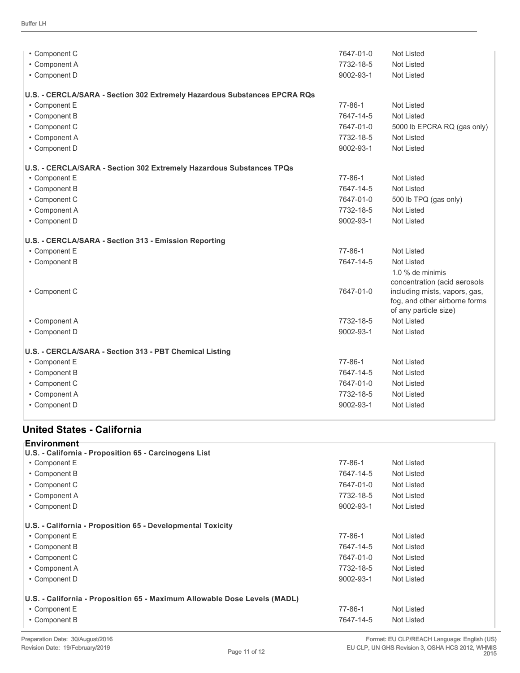| • Component C                                                             | 7647-01-0     | <b>Not Listed</b>                                                                       |  |
|---------------------------------------------------------------------------|---------------|-----------------------------------------------------------------------------------------|--|
| • Component A                                                             | 7732-18-5     | <b>Not Listed</b>                                                                       |  |
| • Component D                                                             | 9002-93-1     | <b>Not Listed</b>                                                                       |  |
| U.S. - CERCLA/SARA - Section 302 Extremely Hazardous Substances EPCRA RQs |               |                                                                                         |  |
| • Component E                                                             | 77-86-1       | <b>Not Listed</b>                                                                       |  |
| • Component B                                                             | 7647-14-5     | <b>Not Listed</b>                                                                       |  |
| • Component C                                                             | 7647-01-0     | 5000 lb EPCRA RQ (gas only)                                                             |  |
| • Component A                                                             | 7732-18-5     | Not Listed                                                                              |  |
| • Component D                                                             | 9002-93-1     | <b>Not Listed</b>                                                                       |  |
| U.S. - CERCLA/SARA - Section 302 Extremely Hazardous Substances TPQs      |               |                                                                                         |  |
| • Component E                                                             | $77 - 86 - 1$ | <b>Not Listed</b>                                                                       |  |
| • Component B                                                             | 7647-14-5     | <b>Not Listed</b>                                                                       |  |
| • Component C                                                             | 7647-01-0     | 500 lb TPQ (gas only)                                                                   |  |
| • Component A                                                             | 7732-18-5     | <b>Not Listed</b>                                                                       |  |
| • Component D                                                             | 9002-93-1     | <b>Not Listed</b>                                                                       |  |
| U.S. - CERCLA/SARA - Section 313 - Emission Reporting                     |               |                                                                                         |  |
| • Component E                                                             | $77 - 86 - 1$ | Not Listed                                                                              |  |
| • Component B                                                             | 7647-14-5     | <b>Not Listed</b>                                                                       |  |
|                                                                           |               | 1.0 % de minimis<br>concentration (acid aerosols                                        |  |
| • Component C                                                             | 7647-01-0     | including mists, vapors, gas,<br>fog, and other airborne forms<br>of any particle size) |  |
| • Component A                                                             | 7732-18-5     | Not Listed                                                                              |  |
| • Component D                                                             | 9002-93-1     | Not Listed                                                                              |  |
| U.S. - CERCLA/SARA - Section 313 - PBT Chemical Listing                   |               |                                                                                         |  |
| • Component E                                                             | $77 - 86 - 1$ | Not Listed                                                                              |  |
| • Component B                                                             | 7647-14-5     | <b>Not Listed</b>                                                                       |  |
| • Component C                                                             | 7647-01-0     | <b>Not Listed</b>                                                                       |  |
| • Component A                                                             | 7732-18-5     | <b>Not Listed</b>                                                                       |  |
| • Component D                                                             | 9002-93-1     | <b>Not Listed</b>                                                                       |  |
|                                                                           |               |                                                                                         |  |

## **United States - California**

| ⊦Environment<br>U.S. - California - Proposition 65 - Carcinogens List     |           |            |
|---------------------------------------------------------------------------|-----------|------------|
| • Component E                                                             | 77-86-1   | Not Listed |
| • Component B                                                             | 7647-14-5 | Not Listed |
| • Component C                                                             | 7647-01-0 | Not Listed |
| • Component A                                                             | 7732-18-5 | Not Listed |
| • Component D                                                             | 9002-93-1 | Not Listed |
| U.S. - California - Proposition 65 - Developmental Toxicity               |           |            |
| • Component E                                                             | 77-86-1   | Not Listed |
| • Component B                                                             | 7647-14-5 | Not Listed |
| • Component C                                                             | 7647-01-0 | Not Listed |
| • Component A                                                             | 7732-18-5 | Not Listed |
| • Component D                                                             | 9002-93-1 | Not Listed |
| U.S. - California - Proposition 65 - Maximum Allowable Dose Levels (MADL) |           |            |
| • Component E                                                             | 77-86-1   | Not Listed |
| • Component B                                                             | 7647-14-5 | Not Listed |